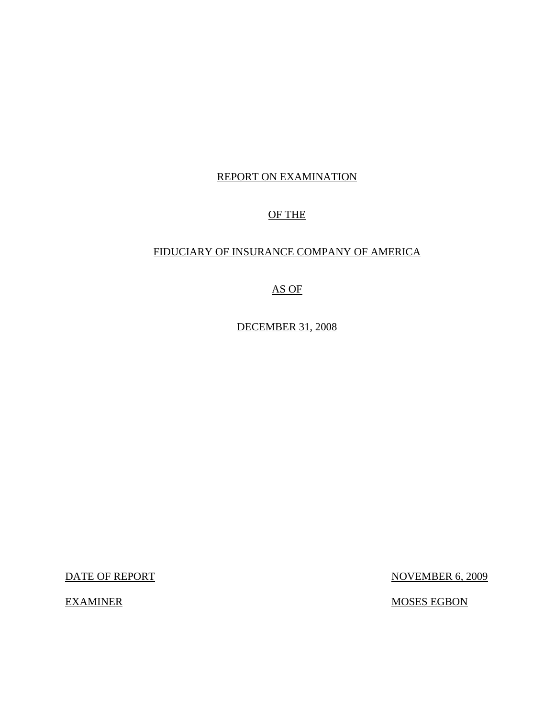# REPORT ON EXAMINATION

# OF THE

# FIDUCIARY OF INSURANCE COMPANY OF AMERICA

# AS OF

DECEMBER 31, 2008

DATE OF REPORT NOVEMBER 6, 2009

EXAMINER MOSES EGBON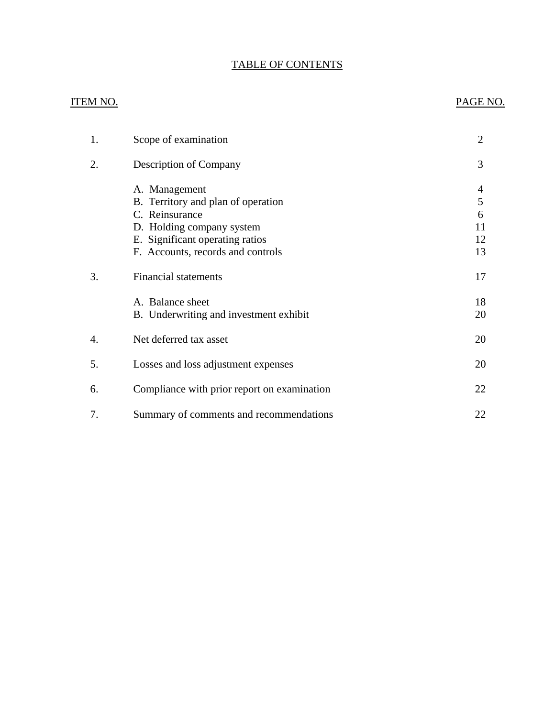# TABLE OF CONTENTS

# **ITEM NO.**

# PAGE NO.

| 1. | Scope of examination                                                                                                                                                       | $\overline{2}$                |
|----|----------------------------------------------------------------------------------------------------------------------------------------------------------------------------|-------------------------------|
| 2. | Description of Company                                                                                                                                                     | 3                             |
|    | A. Management<br>B. Territory and plan of operation<br>C. Reinsurance<br>D. Holding company system<br>E. Significant operating ratios<br>F. Accounts, records and controls | 4<br>5<br>6<br>11<br>12<br>13 |
| 3. | <b>Financial statements</b>                                                                                                                                                | 17                            |
|    | A. Balance sheet<br>B. Underwriting and investment exhibit                                                                                                                 | 18<br>20                      |
| 4. | Net deferred tax asset                                                                                                                                                     | 20                            |
| 5. | Losses and loss adjustment expenses                                                                                                                                        | 20                            |
| 6. | Compliance with prior report on examination                                                                                                                                | 22                            |
| 7. | Summary of comments and recommendations                                                                                                                                    | 22                            |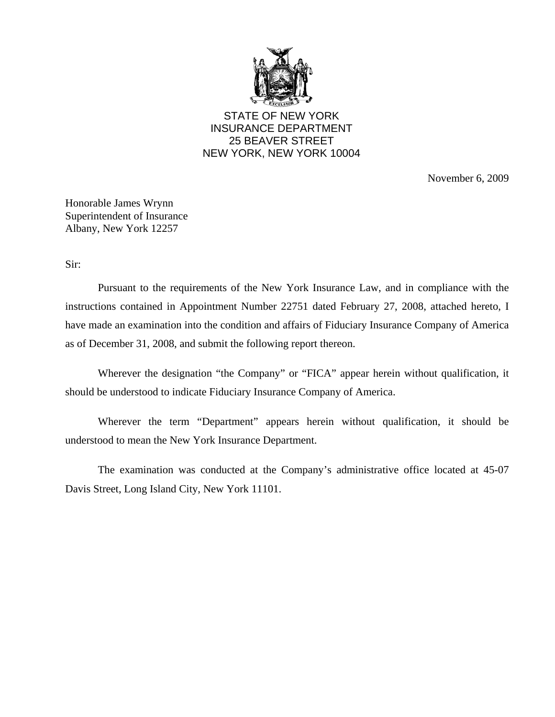

STATE OF NEW YORK INSURANCE DEPARTMENT 25 BEAVER STREET NEW YORK, NEW YORK 10004

November 6, 2009

Honorable James Wrynn Superintendent of Insurance Albany, New York 12257

Sir:

Pursuant to the requirements of the New York Insurance Law, and in compliance with the instructions contained in Appointment Number 22751 dated February 27, 2008, attached hereto, I have made an examination into the condition and affairs of Fiduciary Insurance Company of America as of December 31, 2008, and submit the following report thereon.

Wherever the designation "the Company" or "FICA" appear herein without qualification, it should be understood to indicate Fiduciary Insurance Company of America.

Wherever the term "Department" appears herein without qualification, it should be understood to mean the New York Insurance Department.

The examination was conducted at the Company's administrative office located at 45-07 Davis Street, Long Island City, New York 11101.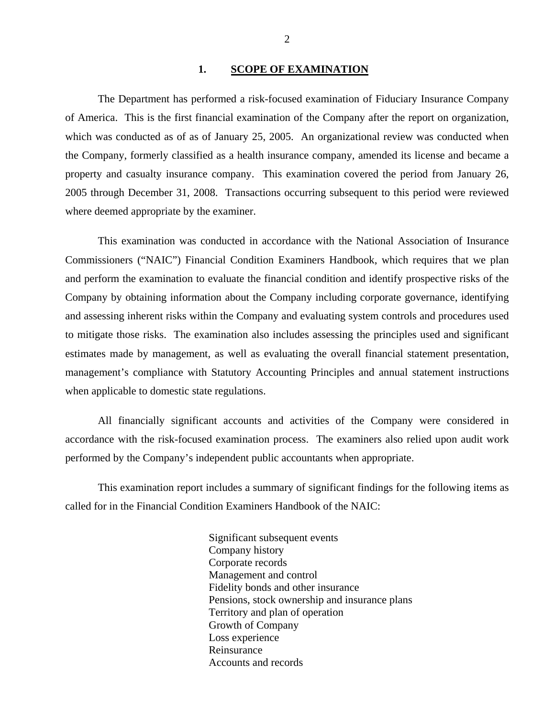### 1. SCOPE OF EXAMINATION

<span id="page-3-0"></span>The Department has performed a risk-focused examination of Fiduciary Insurance Company of America. This is the first financial examination of the Company after the report on organization, which was conducted as of as of January 25, 2005. An organizational review was conducted when the Company, formerly classified as a health insurance company, amended its license and became a property and casualty insurance company. This examination covered the period from January 26, 2005 through December 31, 2008. Transactions occurring subsequent to this period were reviewed where deemed appropriate by the examiner.

This examination was conducted in accordance with the National Association of Insurance Commissioners ("NAIC") Financial Condition Examiners Handbook, which requires that we plan and perform the examination to evaluate the financial condition and identify prospective risks of the Company by obtaining information about the Company including corporate governance, identifying and assessing inherent risks within the Company and evaluating system controls and procedures used to mitigate those risks. The examination also includes assessing the principles used and significant estimates made by management, as well as evaluating the overall financial statement presentation, management's compliance with Statutory Accounting Principles and annual statement instructions when applicable to domestic state regulations.

All financially significant accounts and activities of the Company were considered in accordance with the risk-focused examination process. The examiners also relied upon audit work performed by the Company's independent public accountants when appropriate.

This examination report includes a summary of significant findings for the following items as called for in the Financial Condition Examiners Handbook of the NAIC:

> Significant subsequent events Company history Corporate records Management and control Fidelity bonds and other insurance Pensions, stock ownership and insurance plans Territory and plan of operation Growth of Company Loss experience Reinsurance Accounts and records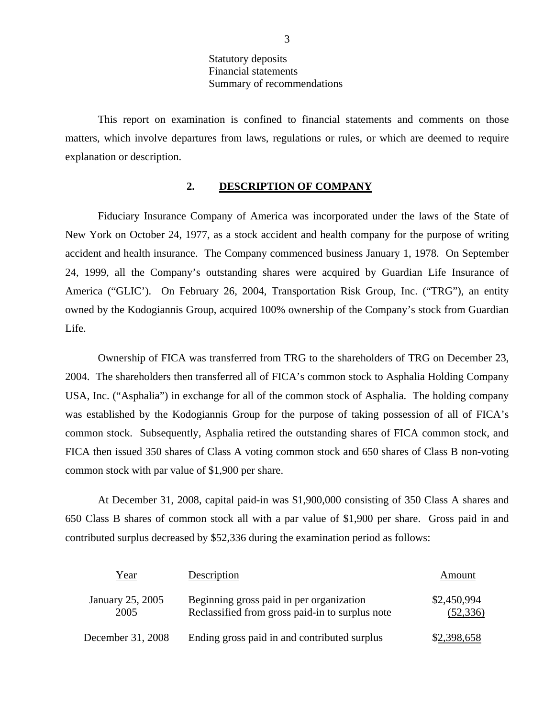This report on examination is confined to financial statements and comments on those matters, which involve departures from laws, regulations or rules, or which are deemed to require explanation or description.

## **2. DESCRIPTION OF COMPANY**

Fiduciary Insurance Company of America was incorporated under the laws of the State of New York on October 24, 1977, as a stock accident and health company for the purpose of writing accident and health insurance. The Company commenced business January 1, 1978. On September 24, 1999, all the Company's outstanding shares were acquired by Guardian Life Insurance of America ("GLIC'). On February 26, 2004, Transportation Risk Group, Inc. ("TRG"), an entity owned by the Kodogiannis Group, acquired 100% ownership of the Company's stock from Guardian Life.

Ownership of FICA was transferred from TRG to the shareholders of TRG on December 23, 2004. The shareholders then transferred all of FICA's common stock to Asphalia Holding Company USA, Inc. ("Asphalia") in exchange for all of the common stock of Asphalia. The holding company was established by the Kodogiannis Group for the purpose of taking possession of all of FICA's common stock. Subsequently, Asphalia retired the outstanding shares of FICA common stock, and FICA then issued 350 shares of Class A voting common stock and 650 shares of Class B non-voting common stock with par value of \$1,900 per share.

At December 31, 2008, capital paid-in was \$1,900,000 consisting of 350 Class A shares and 650 Class B shares of common stock all with a par value of \$1,900 per share. Gross paid in and contributed surplus decreased by \$52,336 during the examination period as follows:

| Year                     | Description                                                                                 | Amount                   |
|--------------------------|---------------------------------------------------------------------------------------------|--------------------------|
| January 25, 2005<br>2005 | Beginning gross paid in per organization<br>Reclassified from gross paid-in to surplus note | \$2,450,994<br>(52, 336) |
| December 31, 2008        | Ending gross paid in and contributed surplus                                                | \$2,398,658              |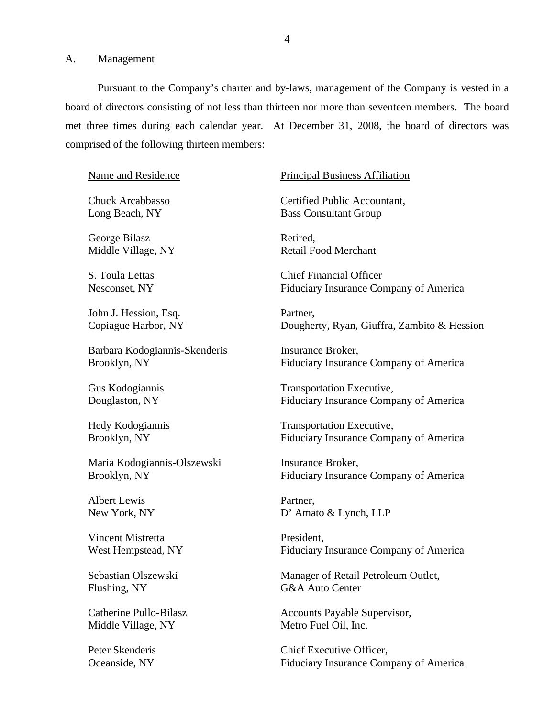<span id="page-5-0"></span>A. Management

Pursuant to the Company's charter and by-laws, management of the Company is vested in a board of directors consisting of not less than thirteen nor more than seventeen members. The board met three times during each calendar year. At December 31, 2008, the board of directors was comprised of the following thirteen members:

Name and Residence

Chuck Arcabbasso Long Beach, NY

George Bilasz Middle Village, NY

S. Toula Lettas Nesconset, NY

John J. Hession, Esq. Copiague Harbor, NY

Barbara Kodogiannis-Skenderis Brooklyn, NY

Gus Kodogiannis Douglaston, NY

Hedy Kodogiannis Brooklyn, NY

Maria Kodogiannis-Olszewski Brooklyn, NY

Albert Lewis New York, NY

Vincent Mistretta West Hempstead, NY

Sebastian Olszewski Flushing, NY

Catherine Pullo-Bilasz Middle Village, NY

#### Principal Business Affiliation

Certified Public Accountant, Bass Consultant Group

Retired, Retail Food Merchant

Chief Financial Officer Fiduciary Insurance Company of America

Partner, Dougherty, Ryan, Giuffra, Zambito & Hession

Insurance Broker, Fiduciary Insurance Company of America

Transportation Executive, Fiduciary Insurance Company of America

Transportation Executive, Fiduciary Insurance Company of America

Insurance Broker, Fiduciary Insurance Company of America

Partner, D' Amato & Lynch, LLP

President, Fiduciary Insurance Company of America

Manager of Retail Petroleum Outlet, G&A Auto Center

Accounts Payable Supervisor, Metro Fuel Oil, Inc.

Peter Skenderis Chief Executive Officer. Oceanside, NY Fiduciary Insurance Company of America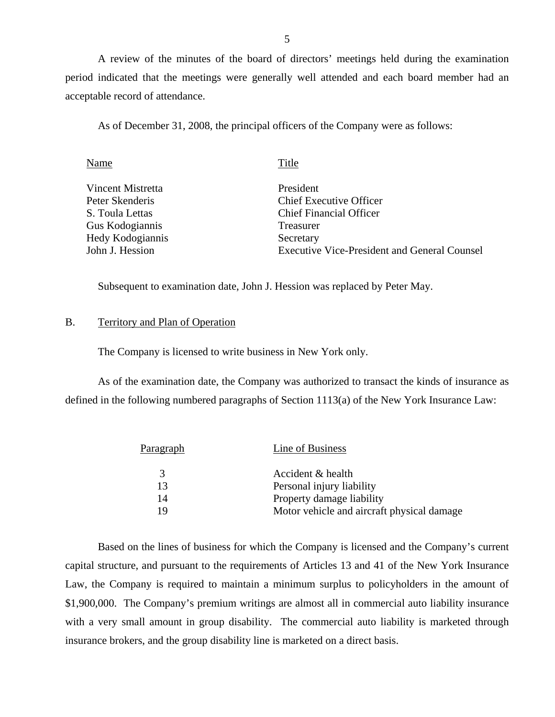A review of the minutes of the board of directors' meetings held during the examination period indicated that the meetings were generally well attended and each board member had an acceptable record of attendance.

As of December 31, 2008, the principal officers of the Company were as follows:

| Name              | Title                                               |
|-------------------|-----------------------------------------------------|
| Vincent Mistretta | President                                           |
| Peter Skenderis   | <b>Chief Executive Officer</b>                      |
| S. Toula Lettas   | <b>Chief Financial Officer</b>                      |
| Gus Kodogiannis   | Treasurer                                           |
| Hedy Kodogiannis  | Secretary                                           |
| John J. Hession   | <b>Executive Vice-President and General Counsel</b> |

Subsequent to examination date, John J. Hession was replaced by Peter May.

#### B. Territory and Plan of Operation

The Company is licensed to write business in New York only.

As of the examination date, the Company was authorized to transact the kinds of insurance as defined in the following numbered paragraphs of Section 1113(a) of the New York Insurance Law:

| Paragraph | Line of Business                           |
|-----------|--------------------------------------------|
| 3         | Accident & health                          |
| 13        | Personal injury liability                  |
| 14        | Property damage liability                  |
| 19        | Motor vehicle and aircraft physical damage |

Based on the lines of business for which the Company is licensed and the Company's current capital structure, and pursuant to the requirements of Articles 13 and 41 of the New York Insurance Law, the Company is required to maintain a minimum surplus to policyholders in the amount of \$1,900,000. The Company's premium writings are almost all in commercial auto liability insurance with a very small amount in group disability. The commercial auto liability is marketed through insurance brokers, and the group disability line is marketed on a direct basis.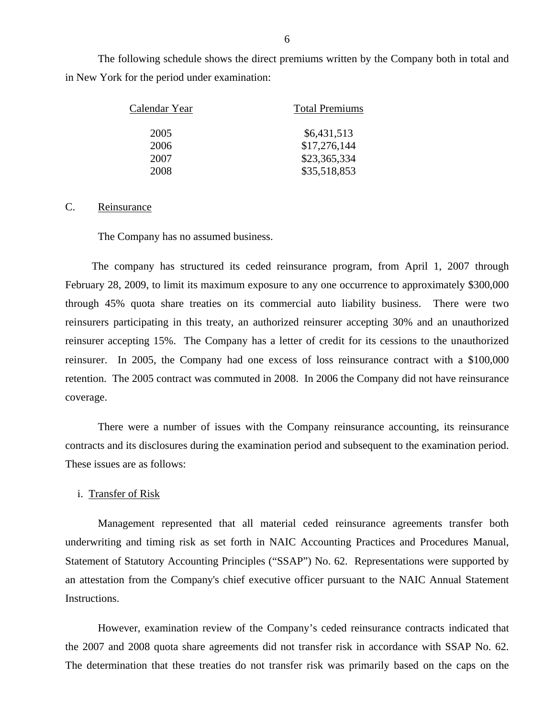The following schedule shows the direct premiums written by the Company both in total and in New York for the period under examination:

| Calendar Year | <b>Total Premiums</b> |  |  |
|---------------|-----------------------|--|--|
| 2005          | \$6,431,513           |  |  |
| 2006          | \$17,276,144          |  |  |
| 2007          | \$23,365,334          |  |  |
| 2008          | \$35,518,853          |  |  |

## C. Reinsurance

The Company has no assumed business.

 reinsurer accepting 15%. The Company has a letter of credit for its cessions to the unauthorized The company has structured its ceded reinsurance program, from April 1, 2007 through February 28, 2009, to limit its maximum exposure to any one occurrence to approximately \$300,000 through 45% quota share treaties on its commercial auto liability business. There were two reinsurers participating in this treaty, an authorized reinsurer accepting 30% and an unauthorized reinsurer. In 2005, the Company had one excess of loss reinsurance contract with a \$100,000 retention. The 2005 contract was commuted in 2008. In 2006 the Company did not have reinsurance coverage.

There were a number of issues with the Company reinsurance accounting, its reinsurance contracts and its disclosures during the examination period and subsequent to the examination period. These issues are as follows:

## i. Transfer of Risk

Management represented that all material ceded reinsurance agreements transfer both underwriting and timing risk as set forth in NAIC Accounting Practices and Procedures Manual, Statement of Statutory Accounting Principles ("SSAP") No. 62. Representations were supported by an attestation from the Company's chief executive officer pursuant to the NAIC Annual Statement Instructions.

However, examination review of the Company's ceded reinsurance contracts indicated that the 2007 and 2008 quota share agreements did not transfer risk in accordance with SSAP No. 62. The determination that these treaties do not transfer risk was primarily based on the caps on the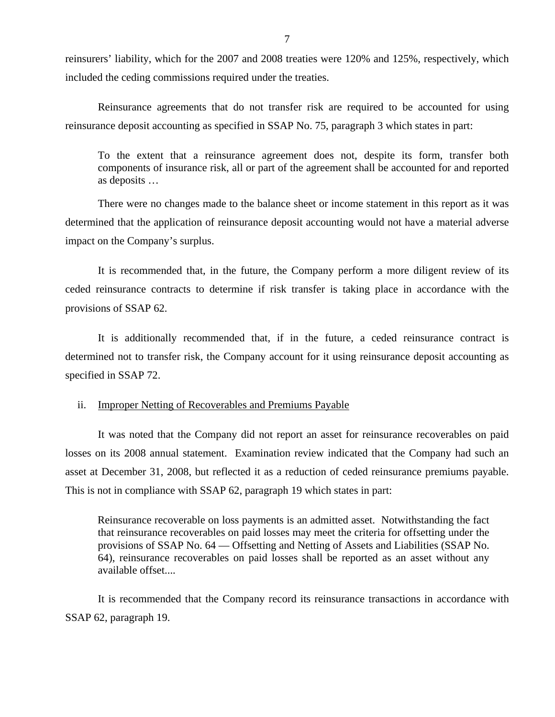reinsurers' liability, which for the 2007 and 2008 treaties were 120% and 125%, respectively, which included the ceding commissions required under the treaties.

Reinsurance agreements that do not transfer risk are required to be accounted for using reinsurance deposit accounting as specified in SSAP No. 75, paragraph 3 which states in part:

To the extent that a reinsurance agreement does not, despite its form, transfer both components of insurance risk, all or part of the agreement shall be accounted for and reported as deposits …

There were no changes made to the balance sheet or income statement in this report as it was determined that the application of reinsurance deposit accounting would not have a material adverse impact on the Company's surplus.

It is recommended that, in the future, the Company perform a more diligent review of its ceded reinsurance contracts to determine if risk transfer is taking place in accordance with the provisions of SSAP 62.

It is additionally recommended that, if in the future, a ceded reinsurance contract is determined not to transfer risk, the Company account for it using reinsurance deposit accounting as specified in SSAP 72.

## ii. Improper Netting of Recoverables and Premiums Payable

It was noted that the Company did not report an asset for reinsurance recoverables on paid losses on its 2008 annual statement. Examination review indicated that the Company had such an asset at December 31, 2008, but reflected it as a reduction of ceded reinsurance premiums payable. This is not in compliance with SSAP 62, paragraph 19 which states in part:

Reinsurance recoverable on loss payments is an admitted asset. Notwithstanding the fact that reinsurance recoverables on paid losses may meet the criteria for offsetting under the provisions of SSAP No. 64 — Offsetting and Netting of Assets and Liabilities (SSAP No. 64), reinsurance recoverables on paid losses shall be reported as an asset without any available offset....

It is recommended that the Company record its reinsurance transactions in accordance with SSAP 62, paragraph 19.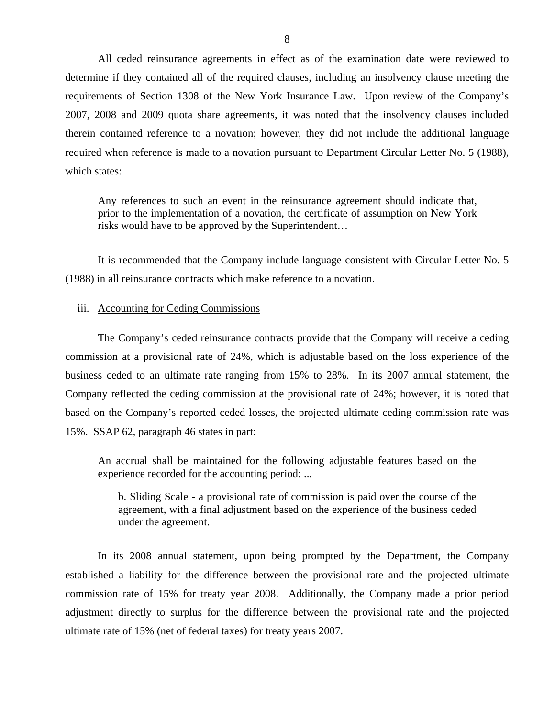All ceded reinsurance agreements in effect as of the examination date were reviewed to determine if they contained all of the required clauses, including an insolvency clause meeting the requirements of Section 1308 of the New York Insurance Law. Upon review of the Company's 2007, 2008 and 2009 quota share agreements, it was noted that the insolvency clauses included therein contained reference to a novation; however, they did not include the additional language required when reference is made to a novation pursuant to Department Circular Letter No. 5 (1988), which states:

Any references to such an event in the reinsurance agreement should indicate that, prior to the implementation of a novation, the certificate of assumption on New York risks would have to be approved by the Superintendent…

It is recommended that the Company include language consistent with Circular Letter No. 5 (1988) in all reinsurance contracts which make reference to a novation.

#### iii. Accounting for Ceding Commissions

The Company's ceded reinsurance contracts provide that the Company will receive a ceding commission at a provisional rate of 24%, which is adjustable based on the loss experience of the business ceded to an ultimate rate ranging from 15% to 28%. In its 2007 annual statement, the Company reflected the ceding commission at the provisional rate of 24%; however, it is noted that based on the Company's reported ceded losses, the projected ultimate ceding commission rate was 15%. SSAP 62, paragraph 46 states in part:

An accrual shall be maintained for the following adjustable features based on the experience recorded for the accounting period: ...

b. Sliding Scale - a provisional rate of commission is paid over the course of the agreement, with a final adjustment based on the experience of the business ceded under the agreement.

In its 2008 annual statement, upon being prompted by the Department, the Company established a liability for the difference between the provisional rate and the projected ultimate commission rate of 15% for treaty year 2008. Additionally, the Company made a prior period adjustment directly to surplus for the difference between the provisional rate and the projected ultimate rate of 15% (net of federal taxes) for treaty years 2007.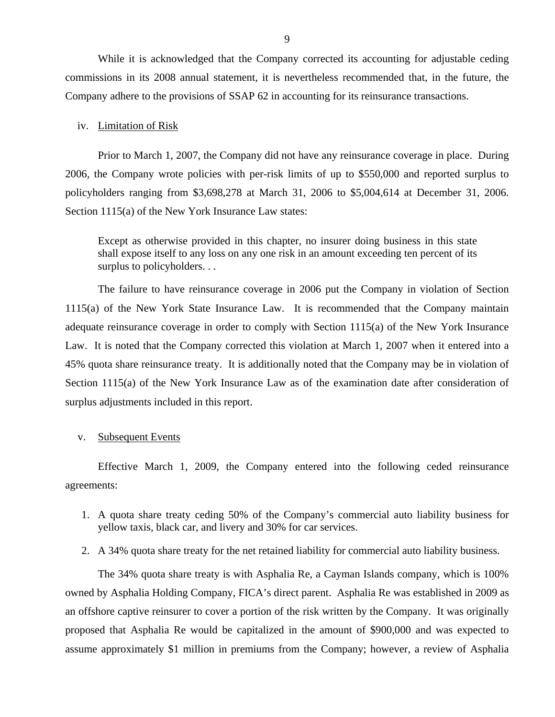While it is acknowledged that the Company corrected its accounting for adjustable ceding commissions in its 2008 annual statement, it is nevertheless recommended that, in the future, the Company adhere to the provisions of SSAP 62 in accounting for its reinsurance transactions.

## iv. Limitation of Risk

Prior to March 1, 2007, the Company did not have any reinsurance coverage in place. During 2006, the Company wrote policies with per-risk limits of up to \$550,000 and reported surplus to policyholders ranging from \$3,698,278 at March 31, 2006 to \$5,004,614 at December 31, 2006. Section 1115(a) of the New York Insurance Law states:

Except as otherwise provided in this chapter, no insurer doing business in this state shall expose itself to any loss on any one risk in an amount exceeding ten percent of its surplus to policyholders...

The failure to have reinsurance coverage in 2006 put the Company in violation of Section 1115(a) of the New York State Insurance Law. It is recommended that the Company maintain adequate reinsurance coverage in order to comply with Section 1115(a) of the New York Insurance Law. It is noted that the Company corrected this violation at March 1, 2007 when it entered into a 45% quota share reinsurance treaty. It is additionally noted that the Company may be in violation of Section 1115(a) of the New York Insurance Law as of the examination date after consideration of surplus adjustments included in this report.

#### v. Subsequent Events

Effective March 1, 2009, the Company entered into the following ceded reinsurance agreements:

- 1. A quota share treaty ceding 50% of the Company's commercial auto liability business for yellow taxis, black car, and livery and 30% for car services.
- 2. A 34% quota share treaty for the net retained liability for commercial auto liability business.

The 34% quota share treaty is with Asphalia Re, a Cayman Islands company, which is 100% owned by Asphalia Holding Company, FICA's direct parent. Asphalia Re was established in 2009 as an offshore captive reinsurer to cover a portion of the risk written by the Company. It was originally proposed that Asphalia Re would be capitalized in the amount of \$900,000 and was expected to assume approximately \$1 million in premiums from the Company; however, a review of Asphalia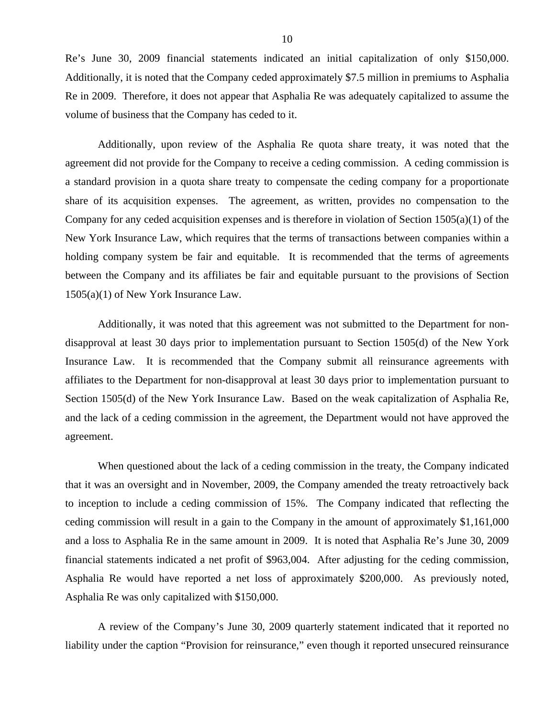Re's June 30, 2009 financial statements indicated an initial capitalization of only \$150,000. Additionally, it is noted that the Company ceded approximately \$7.5 million in premiums to Asphalia Re in 2009. Therefore, it does not appear that Asphalia Re was adequately capitalized to assume the volume of business that the Company has ceded to it.

Additionally, upon review of the Asphalia Re quota share treaty, it was noted that the agreement did not provide for the Company to receive a ceding commission. A ceding commission is a standard provision in a quota share treaty to compensate the ceding company for a proportionate share of its acquisition expenses. The agreement, as written, provides no compensation to the Company for any ceded acquisition expenses and is therefore in violation of Section 1505(a)(1) of the New York Insurance Law, which requires that the terms of transactions between companies within a holding company system be fair and equitable. It is recommended that the terms of agreements between the Company and its affiliates be fair and equitable pursuant to the provisions of Section 1505(a)(1) of New York Insurance Law.

Additionally, it was noted that this agreement was not submitted to the Department for nondisapproval at least 30 days prior to implementation pursuant to Section 1505(d) of the New York Insurance Law. It is recommended that the Company submit all reinsurance agreements with affiliates to the Department for non-disapproval at least 30 days prior to implementation pursuant to Section 1505(d) of the New York Insurance Law. Based on the weak capitalization of Asphalia Re, and the lack of a ceding commission in the agreement, the Department would not have approved the agreement.

When questioned about the lack of a ceding commission in the treaty, the Company indicated that it was an oversight and in November, 2009, the Company amended the treaty retroactively back to inception to include a ceding commission of 15%. The Company indicated that reflecting the ceding commission will result in a gain to the Company in the amount of approximately \$1,161,000 and a loss to Asphalia Re in the same amount in 2009. It is noted that Asphalia Re's June 30, 2009 financial statements indicated a net profit of \$963,004. After adjusting for the ceding commission, Asphalia Re would have reported a net loss of approximately \$200,000. As previously noted, Asphalia Re was only capitalized with \$150,000.

A review of the Company's June 30, 2009 quarterly statement indicated that it reported no liability under the caption "Provision for reinsurance," even though it reported unsecured reinsurance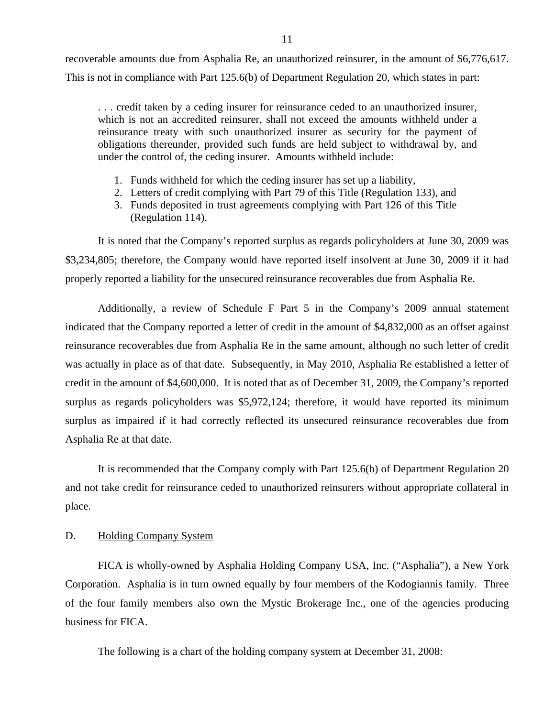<span id="page-12-0"></span>recoverable amounts due from Asphalia Re, an unauthorized reinsurer, in the amount of \$6,776,617. This is not in compliance with Part 125.6(b) of Department Regulation 20, which states in part:

. . . credit taken by a ceding insurer for reinsurance ceded to an unauthorized insurer, which is not an accredited reinsurer, shall not exceed the amounts withheld under a reinsurance treaty with such unauthorized insurer as security for the payment of obligations thereunder, provided such funds are held subject to withdrawal by, and under the control of, the ceding insurer. Amounts withheld include:

- 1. Funds withheld for which the ceding insurer has set up a liability,
- 2. Letters of credit complying with Part 79 of this Title (Regulation 133), and
- 3. Funds deposited in trust agreements complying with Part 126 of this Title (Regulation 114).

It is noted that the Company's reported surplus as regards policyholders at June 30, 2009 was \$3,234,805; therefore, the Company would have reported itself insolvent at June 30, 2009 if it had properly reported a liability for the unsecured reinsurance recoverables due from Asphalia Re.

Additionally, a review of Schedule F Part 5 in the Company's 2009 annual statement indicated that the Company reported a letter of credit in the amount of \$4,832,000 as an offset against reinsurance recoverables due from Asphalia Re in the same amount, although no such letter of credit was actually in place as of that date. Subsequently, in May 2010, Asphalia Re established a letter of credit in the amount of \$4,600,000. It is noted that as of December 31, 2009, the Company's reported surplus as regards policyholders was \$5,972,124; therefore, it would have reported its minimum surplus as impaired if it had correctly reflected its unsecured reinsurance recoverables due from Asphalia Re at that date.

It is recommended that the Company comply with Part 125.6(b) of Department Regulation 20 and not take credit for reinsurance ceded to unauthorized reinsurers without appropriate collateral in place.

## D. Holding Company System

FICA is wholly-owned by Asphalia Holding Company USA, Inc. ("Asphalia"), a New York Corporation. Asphalia is in turn owned equally by four members of the Kodogiannis family. Three of the four family members also own the Mystic Brokerage Inc., one of the agencies producing business for FICA.

The following is a chart of the holding company system at December 31, 2008: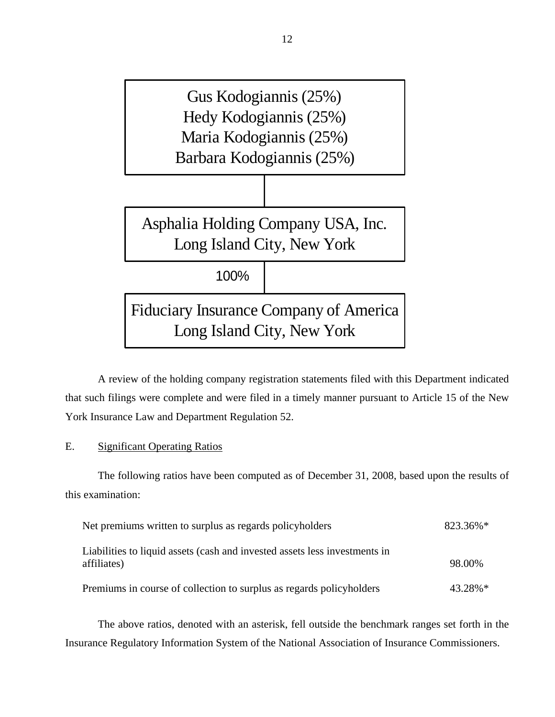

A review of the holding company registration statements filed with this Department indicated that such filings were complete and were filed in a timely manner pursuant to Article 15 of the New York Insurance Law and Department Regulation 52.

E. Significant Operating Ratios

The following ratios have been computed as of December 31, 2008, based upon the results of this examination:

| Net premiums written to surplus as regards policyholders                                  | 823.36%*   |
|-------------------------------------------------------------------------------------------|------------|
| Liabilities to liquid assets (cash and invested assets less investments in<br>affiliates) | 98.00%     |
| Premiums in course of collection to surplus as regards policyholders                      | $43.28\%*$ |

The above ratios, denoted with an asterisk, fell outside the benchmark ranges set forth in the Insurance Regulatory Information System of the National Association of Insurance Commissioners.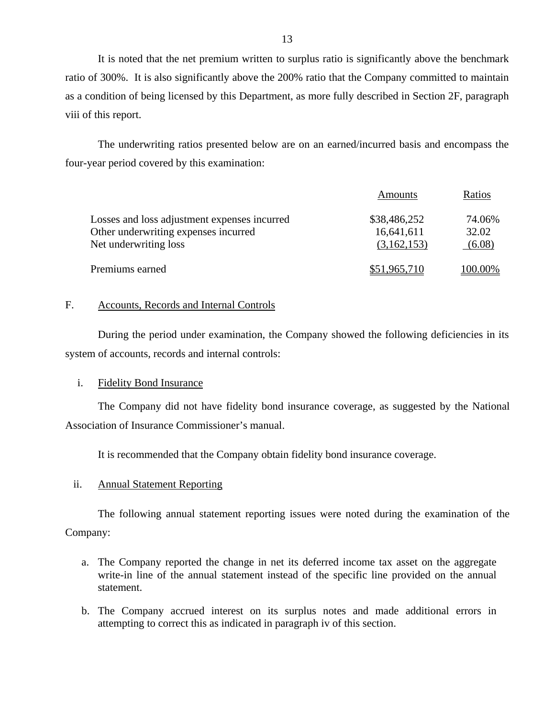It is noted that the net premium written to surplus ratio is significantly above the benchmark ratio of 300%. It is also significantly above the 200% ratio that the Company committed to maintain as a condition of being licensed by this Department, as more fully described in Section 2F, paragraph viii of this report.

The underwriting ratios presented below are on an earned/incurred basis and encompass the four-year period covered by this examination:

|                                                                                                               | Amounts                                   | Ratios                    |
|---------------------------------------------------------------------------------------------------------------|-------------------------------------------|---------------------------|
| Losses and loss adjustment expenses incurred<br>Other underwriting expenses incurred<br>Net underwriting loss | \$38,486,252<br>16,641,611<br>(3,162,153) | 74.06%<br>32.02<br>(6.08) |
| Premiums earned                                                                                               | \$51,965,710                              | 100.00%                   |

## F. Accounts, Records and Internal Controls

During the period under examination, the Company showed the following deficiencies in its system of accounts, records and internal controls:

## i. Fidelity Bond Insurance

The Company did not have fidelity bond insurance coverage, as suggested by the National Association of Insurance Commissioner's manual.

It is recommended that the Company obtain fidelity bond insurance coverage.

#### ii. Annual Statement Reporting

The following annual statement reporting issues were noted during the examination of the Company:

- a. The Company reported the change in net its deferred income tax asset on the aggregate write-in line of the annual statement instead of the specific line provided on the annual statement.
- b. The Company accrued interest on its surplus notes and made additional errors in attempting to correct this as indicated in paragraph iv of this section.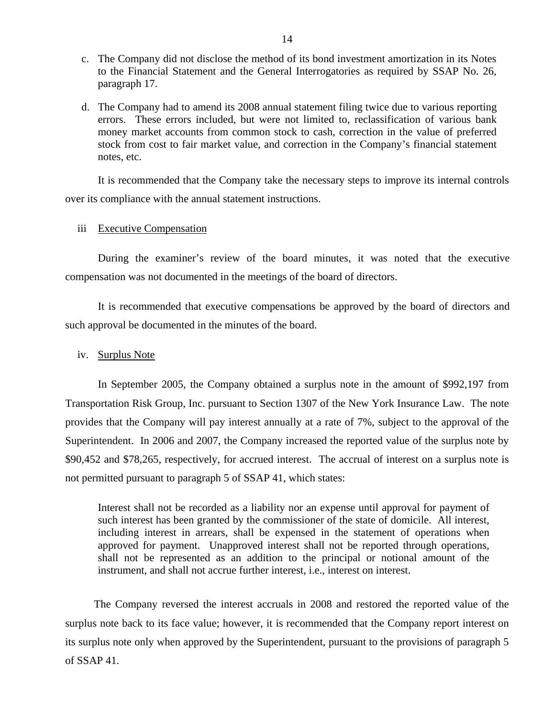- c. The Company did not disclose the method of its bond investment amortization in its Notes to the Financial Statement and the General Interrogatories as required by SSAP No. 26, paragraph 17.
- d. The Company had to amend its 2008 annual statement filing twice due to various reporting errors. These errors included, but were not limited to, reclassification of various bank money market accounts from common stock to cash, correction in the value of preferred stock from cost to fair market value, and correction in the Company's financial statement notes, etc.

It is recommended that the Company take the necessary steps to improve its internal controls over its compliance with the annual statement instructions.

#### iii Executive Compensation

During the examiner's review of the board minutes, it was noted that the executive compensation was not documented in the meetings of the board of directors.

It is recommended that executive compensations be approved by the board of directors and such approval be documented in the minutes of the board.

## iv. Surplus Note

In September 2005, the Company obtained a surplus note in the amount of \$992,197 from Transportation Risk Group, Inc. pursuant to Section 1307 of the New York Insurance Law. The note provides that the Company will pay interest annually at a rate of 7%, subject to the approval of the Superintendent. In 2006 and 2007, the Company increased the reported value of the surplus note by \$90,452 and \$78,265, respectively, for accrued interest. The accrual of interest on a surplus note is not permitted pursuant to paragraph 5 of SSAP 41, which states:

Interest shall not be recorded as a liability nor an expense until approval for payment of such interest has been granted by the commissioner of the state of domicile. All interest, including interest in arrears, shall be expensed in the statement of operations when approved for payment. Unapproved interest shall not be reported through operations, shall not be represented as an addition to the principal or notional amount of the instrument, and shall not accrue further interest, i.e., interest on interest.

The Company reversed the interest accruals in 2008 and restored the reported value of the surplus note back to its face value; however, it is recommended that the Company report interest on its surplus note only when approved by the Superintendent, pursuant to the provisions of paragraph 5 of SSAP 41.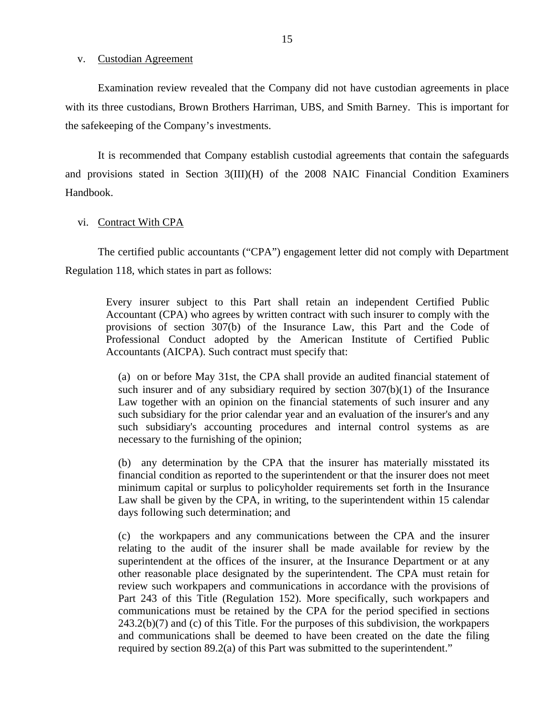## v. Custodian Agreement

Examination review revealed that the Company did not have custodian agreements in place with its three custodians, Brown Brothers Harriman, UBS, and Smith Barney. This is important for the safekeeping of the Company's investments.

It is recommended that Company establish custodial agreements that contain the safeguards and provisions stated in Section 3(III)(H) of the 2008 NAIC Financial Condition Examiners Handbook.

#### vi. Contract With CPA

The certified public accountants ("CPA") engagement letter did not comply with Department Regulation 118, which states in part as follows:

Every insurer subject to this Part shall retain an independent Certified Public Accountant (CPA) who agrees by written contract with such insurer to comply with the provisions of section 307(b) of the Insurance Law, this Part and the Code of Professional Conduct adopted by the American Institute of Certified Public Accountants (AICPA). Such contract must specify that:

(a) on or before May 31st, the CPA shall provide an audited financial statement of such insurer and of any subsidiary required by section 307(b)(1) of the Insurance Law together with an opinion on the financial statements of such insurer and any such subsidiary for the prior calendar year and an evaluation of the insurer's and any such subsidiary's accounting procedures and internal control systems as are necessary to the furnishing of the opinion;

(b) any determination by the CPA that the insurer has materially misstated its financial condition as reported to the superintendent or that the insurer does not meet minimum capital or surplus to policyholder requirements set forth in the Insurance Law shall be given by the CPA, in writing, to the superintendent within 15 calendar days following such determination; and

(c) the workpapers and any communications between the CPA and the insurer relating to the audit of the insurer shall be made available for review by the superintendent at the offices of the insurer, at the Insurance Department or at any other reasonable place designated by the superintendent. The CPA must retain for review such workpapers and communications in accordance with the provisions of Part 243 of this Title (Regulation 152). More specifically, such workpapers and communications must be retained by the CPA for the period specified in sections 243.2(b)(7) and (c) of this Title. For the purposes of this subdivision, the workpapers and communications shall be deemed to have been created on the date the filing required by section 89.2(a) of this Part was submitted to the superintendent."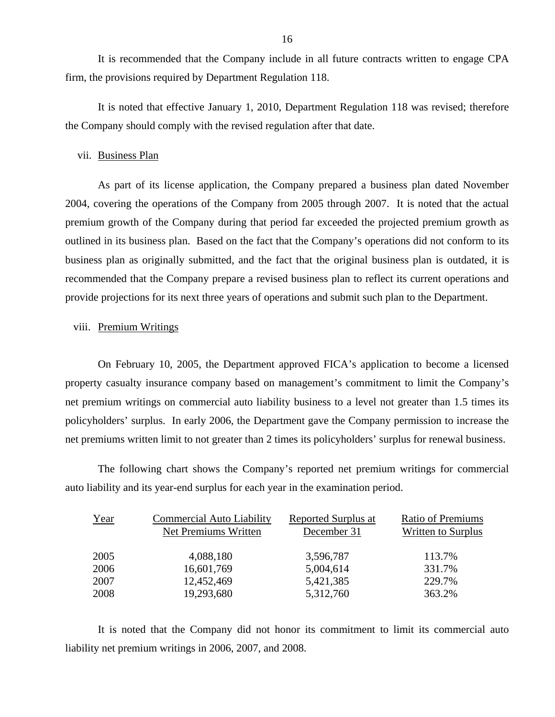It is recommended that the Company include in all future contracts written to engage CPA firm, the provisions required by Department Regulation 118.

It is noted that effective January 1, 2010, Department Regulation 118 was revised; therefore the Company should comply with the revised regulation after that date.

#### vii. Business Plan

As part of its license application, the Company prepared a business plan dated November 2004, covering the operations of the Company from 2005 through 2007. It is noted that the actual premium growth of the Company during that period far exceeded the projected premium growth as outlined in its business plan. Based on the fact that the Company's operations did not conform to its business plan as originally submitted, and the fact that the original business plan is outdated, it is recommended that the Company prepare a revised business plan to reflect its current operations and provide projections for its next three years of operations and submit such plan to the Department.

#### viii. Premium Writings

On February 10, 2005, the Department approved FICA's application to become a licensed property casualty insurance company based on management's commitment to limit the Company's net premium writings on commercial auto liability business to a level not greater than 1.5 times its policyholders' surplus. In early 2006, the Department gave the Company permission to increase the net premiums written limit to not greater than 2 times its policyholders' surplus for renewal business.

The following chart shows the Company's reported net premium writings for commercial auto liability and its year-end surplus for each year in the examination period.

| <b>Commercial Auto Liability</b><br>Net Premiums Written | <b>Reported Surplus at</b><br>December 31 | <b>Ratio of Premiums</b><br><b>Written to Surplus</b> |
|----------------------------------------------------------|-------------------------------------------|-------------------------------------------------------|
| 4,088,180                                                | 3,596,787                                 | 113.7%                                                |
| 16,601,769                                               | 5,004,614                                 | 331.7%                                                |
| 12,452,469                                               | 5,421,385                                 | 229.7%                                                |
| 19,293,680                                               | 5,312,760                                 | 363.2%                                                |
|                                                          |                                           |                                                       |

It is noted that the Company did not honor its commitment to limit its commercial auto liability net premium writings in 2006, 2007, and 2008.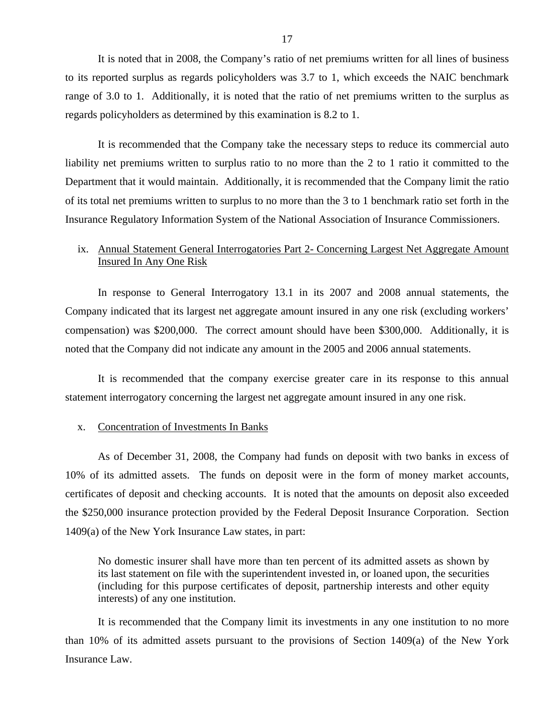<span id="page-18-0"></span>It is noted that in 2008, the Company's ratio of net premiums written for all lines of business to its reported surplus as regards policyholders was 3.7 to 1, which exceeds the NAIC benchmark range of 3.0 to 1. Additionally, it is noted that the ratio of net premiums written to the surplus as regards policyholders as determined by this examination is 8.2 to 1.

It is recommended that the Company take the necessary steps to reduce its commercial auto liability net premiums written to surplus ratio to no more than the 2 to 1 ratio it committed to the Department that it would maintain. Additionally, it is recommended that the Company limit the ratio of its total net premiums written to surplus to no more than the 3 to 1 benchmark ratio set forth in the Insurance Regulatory Information System of the National Association of Insurance Commissioners.

## ix. Annual Statement General Interrogatories Part 2- Concerning Largest Net Aggregate Amount Insured In Any One Risk

In response to General Interrogatory 13.1 in its 2007 and 2008 annual statements, the Company indicated that its largest net aggregate amount insured in any one risk (excluding workers' compensation) was \$200,000. The correct amount should have been \$300,000. Additionally, it is noted that the Company did not indicate any amount in the 2005 and 2006 annual statements.

It is recommended that the company exercise greater care in its response to this annual statement interrogatory concerning the largest net aggregate amount insured in any one risk.

#### x. Concentration of Investments In Banks

As of December 31, 2008, the Company had funds on deposit with two banks in excess of 10% of its admitted assets. The funds on deposit were in the form of money market accounts, certificates of deposit and checking accounts. It is noted that the amounts on deposit also exceeded the \$250,000 insurance protection provided by the Federal Deposit Insurance Corporation. Section 1409(a) of the New York Insurance Law states, in part:

No domestic insurer shall have more than ten percent of its admitted assets as shown by its last statement on file with the superintendent invested in, or loaned upon, the securities (including for this purpose certificates of deposit, partnership interests and other equity interests) of any one institution.

It is recommended that the Company limit its investments in any one institution to no more than 10% of its admitted assets pursuant to the provisions of Section 1409(a) of the New York Insurance Law.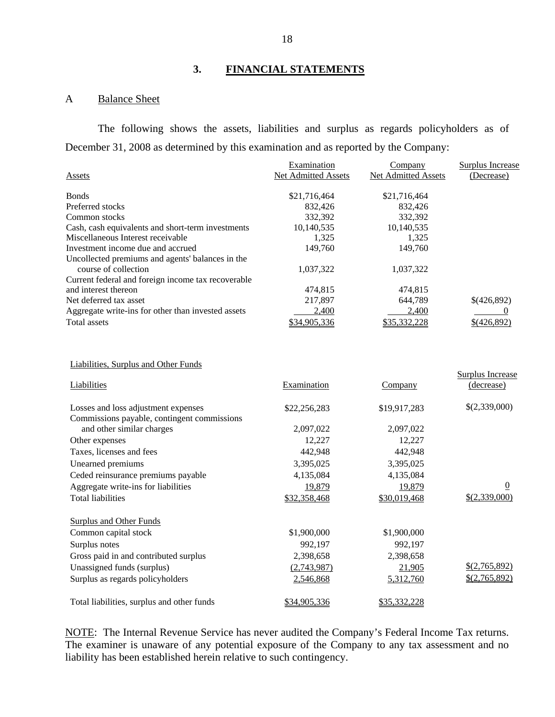## **3. FINANCIAL STATEMENTS**

## A Balance Sheet

The following shows the assets, liabilities and surplus as regards policyholders as of December 31, 2008 as determined by this examination and as reported by the Company:

|                                                    | Examination         | Company             | <b>Surplus Increase</b> |
|----------------------------------------------------|---------------------|---------------------|-------------------------|
| Assets                                             | Net Admitted Assets | Net Admitted Assets | (Decrease)              |
| <b>Bonds</b>                                       | \$21,716,464        | \$21,716,464        |                         |
| Preferred stocks                                   | 832,426             | 832,426             |                         |
| Common stocks                                      | 332,392             | 332,392             |                         |
| Cash, cash equivalents and short-term investments  | 10,140,535          | 10,140,535          |                         |
| Miscellaneous Interest receivable                  | 1,325               | 1,325               |                         |
| Investment income due and accrued                  | 149,760             | 149,760             |                         |
| Uncollected premiums and agents' balances in the   |                     |                     |                         |
| course of collection                               | 1,037,322           | 1,037,322           |                         |
| Current federal and foreign income tax recoverable |                     |                     |                         |
| and interest thereon                               | 474,815             | 474,815             |                         |
| Net deferred tax asset                             | 217,897             | 644,789             | \$(426,892)             |
| Aggregate write-ins for other than invested assets | 2,400               | 2,400               |                         |
| <b>Total assets</b>                                | \$34,905,336        | \$35,332,228        | \$(426,892)             |
| Liabilities, Surplus and Other Funds               |                     |                     |                         |
|                                                    |                     |                     | Surplus Increase        |
| Liabilities                                        | Examination         | Company             | (decrease)              |
| Losses and loss adjustment expenses                | \$22,256,283        | \$19,917,283        | \$(2,339,000)           |
| Commissions payable, contingent commissions        |                     |                     |                         |
| and other similar charges                          | 2,097,022           | 2,097,022           |                         |
| Other expenses                                     | 12,227              | 12,227              |                         |
| Taxes, licenses and fees                           | 442,948             | 442,948             |                         |
| Unearned premiums                                  | 3,395,025           | 3,395,025           |                         |
| Ceded reinsurance premiums payable                 | 4,135,084           | 4,135,084           |                         |
| Aggregate write-ins for liabilities                | 19,879              | 19,879              | $\boldsymbol{0}$        |
| <b>Total liabilities</b>                           | \$32,358,468        | \$30,019,468        | \$(2,339,000)           |
| <b>Surplus and Other Funds</b>                     |                     |                     |                         |
| Common capital stock                               | \$1,900,000         | \$1,900,000         |                         |
| Surplus notes                                      | 992,197             | 992,197             |                         |
| Gross paid in and contributed surplus              | 2,398,658           | 2,398,658           |                         |
| Unassigned funds (surplus)                         | (2,743,987)         | 21,905              | \$(2,765,892)           |
| Surplus as regards policyholders                   | 2,546,868           | 5,312,760           | \$(2,765,892)           |
| Total liabilities, surplus and other funds         | \$34,905,336        | \$35,332,228        |                         |

NOTE: The Internal Revenue Service has never audited the Company's Federal Income Tax returns. The examiner is unaware of any potential exposure of the Company to any tax assessment and no liability has been established herein relative to such contingency.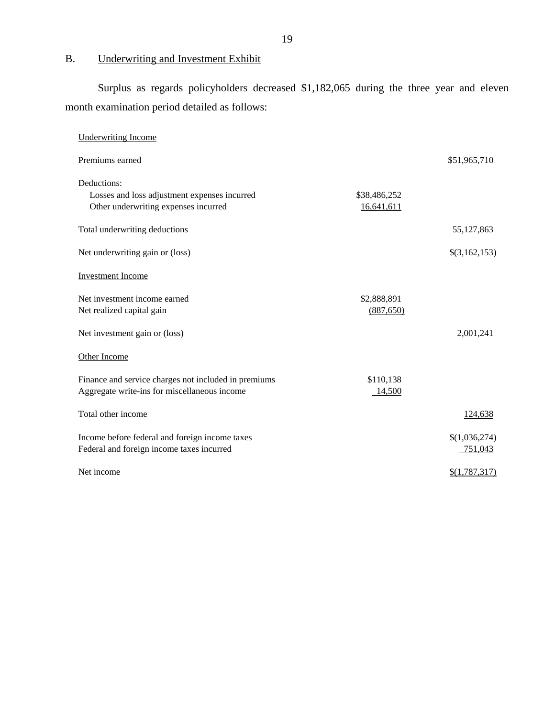# B. Underwriting and Investment Exhibit

Surplus as regards policyholders decreased \$1,182,065 during the three year and eleven month examination period detailed as follows:

| <b>Underwriting Income</b>                                                                           |                            |                          |
|------------------------------------------------------------------------------------------------------|----------------------------|--------------------------|
| Premiums earned                                                                                      |                            | \$51,965,710             |
| Deductions:<br>Losses and loss adjustment expenses incurred<br>Other underwriting expenses incurred  | \$38,486,252<br>16,641,611 |                          |
| Total underwriting deductions                                                                        |                            | 55,127,863               |
| Net underwriting gain or (loss)                                                                      |                            | \$(3,162,153)            |
| <b>Investment Income</b>                                                                             |                            |                          |
| Net investment income earned<br>Net realized capital gain                                            | \$2,888,891<br>(887, 650)  |                          |
| Net investment gain or (loss)                                                                        |                            | 2,001,241                |
| Other Income                                                                                         |                            |                          |
| Finance and service charges not included in premiums<br>Aggregate write-ins for miscellaneous income | \$110,138<br>14,500        |                          |
| Total other income                                                                                   |                            | 124,638                  |
| Income before federal and foreign income taxes<br>Federal and foreign income taxes incurred          |                            | \$(1,036,274)<br>751,043 |
| Net income                                                                                           |                            | \$(1,787,317)            |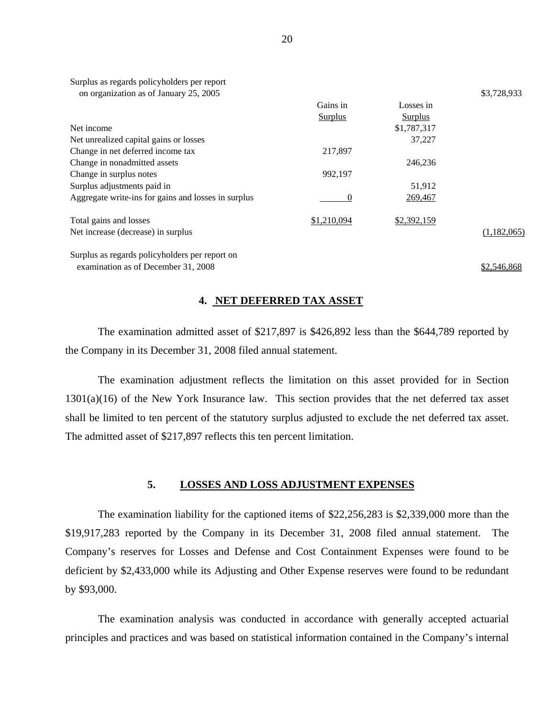| on organization as of January 25, 2005              |                |                | \$3,728,933 |
|-----------------------------------------------------|----------------|----------------|-------------|
|                                                     | Gains in       | Losses in      |             |
|                                                     | <b>Surplus</b> | <b>Surplus</b> |             |
| Net income                                          |                | \$1,787,317    |             |
| Net unrealized capital gains or losses              |                | 37.227         |             |
| Change in net deferred income tax                   | 217,897        |                |             |
| Change in nonadmitted assets                        |                | 246,236        |             |
| Change in surplus notes                             | 992,197        |                |             |
| Surplus adjustments paid in                         |                | 51,912         |             |
| Aggregate write-ins for gains and losses in surplus | $\theta$       | 269,467        |             |
| Total gains and losses                              | \$1,210,094    | \$2,392,159    |             |
| Net increase (decrease) in surplus                  |                |                | (1,182,065) |
| Surplus as regards policyholders per report on      |                |                |             |
| examination as of December 31, 2008                 |                |                | \$2,546,868 |

#### **4. NET DEFERRED TAX ASSET**

The examination admitted asset of \$217,897 is \$426,892 less than the \$644,789 reported by the Company in its December 31, 2008 filed annual statement.

The examination adjustment reflects the limitation on this asset provided for in Section 1301(a)(16) of the New York Insurance law. This section provides that the net deferred tax asset shall be limited to ten percent of the statutory surplus adjusted to exclude the net deferred tax asset. The admitted asset of \$217,897 reflects this ten percent limitation.

## **5. LOSSES AND LOSS ADJUSTMENT EXPENSES**

The examination liability for the captioned items of \$22,256,283 is \$2,339,000 more than the \$19,917,283 reported by the Company in its December 31, 2008 filed annual statement. The Company's reserves for Losses and Defense and Cost Containment Expenses were found to be deficient by \$2,433,000 while its Adjusting and Other Expense reserves were found to be redundant by \$93,000.

The examination analysis was conducted in accordance with generally accepted actuarial principles and practices and was based on statistical information contained in the Company's internal

Surplus as regards policyholders per report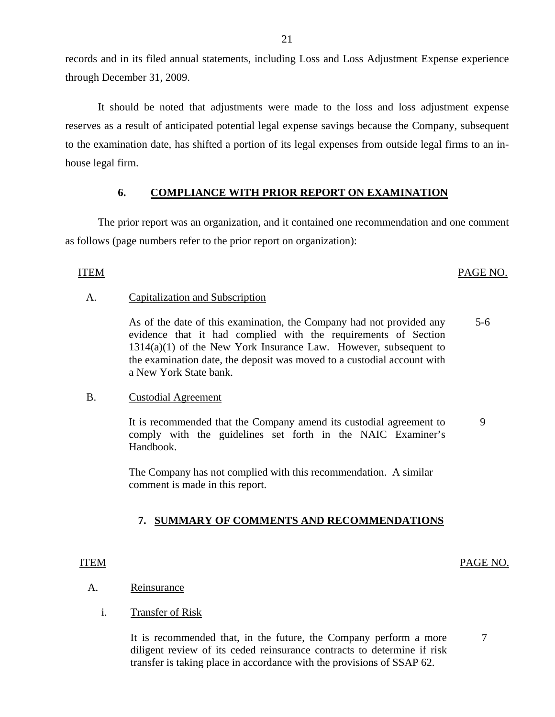records and in its filed annual statements, including Loss and Loss Adjustment Expense experience through December 31, 2009.

It should be noted that adjustments were made to the loss and loss adjustment expense reserves as a result of anticipated potential legal expense savings because the Company, subsequent to the examination date, has shifted a portion of its legal expenses from outside legal firms to an inhouse legal firm.

## **6. COMPLIANCE WITH PRIOR REPORT ON EXAMINATION**

The prior report was an organization, and it contained one recommendation and one comment as follows (page numbers refer to the prior report on organization):

**ITEM** 

## ITEM PAGE NO.

## Capitalization and Subscription

A. Capitalization and Subscription<br>As of the date of this examination, the Company had not provided any evidence that it had complied with the requirements of Section 1314(a)(1) of the New York Insurance Law. However, subsequent to the examination date, the deposit was moved to a custodial account with a New York State bank. 5-6

## **Custodial Agreement**

B. Custodial Agreement<br>It is recommended that the Company amend its custodial agreement to comply with the guidelines set forth in the NAIC Examiner's Handbook. 9

> The Company has not complied with this recommendation. A similar comment is made in this report.

## **7. SUMMARY OF COMMENTS AND RECOMMENDATIONS**

## ITEM PAGE NO.

7

## Reinsurance

**Transfer of Risk** 

A. Reinsurance<br>i. Transfer of Risk<br>It is recommended that, in the future, the Company perform a more diligent review of its ceded reinsurance contracts to determine if risk transfer is taking place in accordance with the provisions of SSAP 62.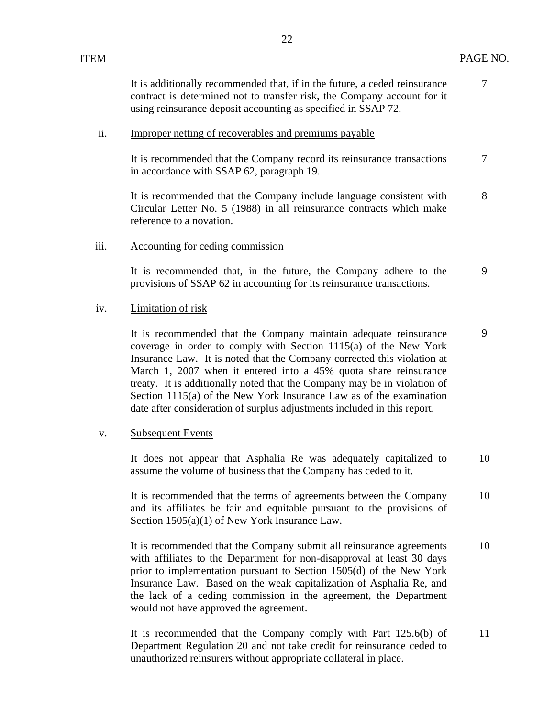7

<span id="page-23-0"></span>It is additionally recommended that, if in the future, a ceded reinsurance contract is determined not to transfer risk, the Company account for it using reinsurance deposit accounting as specified in SSAP 72.

#### Improper netting of recoverables and premiums payable

ii. Improper netting of recoverables and premiums payable<br>It is recommended that the Company record its reinsurance transactions in accordance with SSAP 62, paragraph 19. 7

It is recommended that the Company include language consistent with Circular Letter No. 5 (1988) in all reinsurance contracts which make reference to a novation. 8

## Accounting for ceding commission

iii. Accounting for ceding commission<br>It is recommended that, in the future, the Company adhere to the provisions of SSAP 62 in accounting for its reinsurance transactions. 9

## **Limitation of risk**

iv. Limitation of risk<br>It is recommended that the Company maintain adequate reinsurance coverage in order to comply with Section 1115(a) of the New York Insurance Law. It is noted that the Company corrected this violation at March 1, 2007 when it entered into a 45% quota share reinsurance treaty. It is additionally noted that the Company may be in violation of Section 1115(a) of the New York Insurance Law as of the examination date after consideration of surplus adjustments included in this report. 9

### **Subsequent Events**

v. Subsequent Events<br>It does not appear that Asphalia Re was adequately capitalized to assume the volume of business that the Company has ceded to it. 10

It is recommended that the terms of agreements between the Company and its affiliates be fair and equitable pursuant to the provisions of Section 1505(a)(1) of New York Insurance Law. 10

It is recommended that the Company submit all reinsurance agreements with affiliates to the Department for non-disapproval at least 30 days prior to implementation pursuant to Section 1505(d) of the New York Insurance Law. Based on the weak capitalization of Asphalia Re, and the lack of a ceding commission in the agreement, the Department would not have approved the agreement. 10

It is recommended that the Company comply with Part 125.6(b) of Department Regulation 20 and not take credit for reinsurance ceded to unauthorized reinsurers without appropriate collateral in place. 11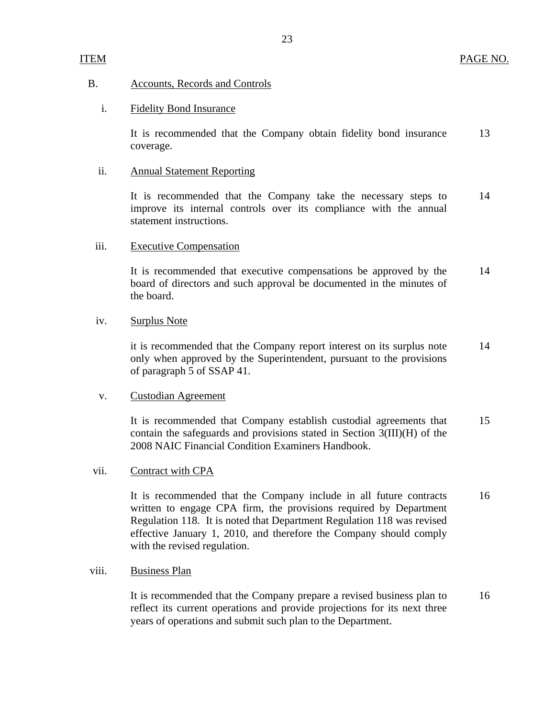## Accounts, Records and Controls

## **Fidelity Bond Insurance**

B. Accounts, Records and Controls<br>i. Fidelity Bond Insurance<br>It is recommended that the Company obtain fidelity bond insurance 13 coverage.

## **Annual Statement Reporting**

ii. Annual Statement Reporting<br>It is recommended that the Company take the necessary steps to 14 improve its internal controls over its compliance with the annual statement instructions.

## **Executive Compensation**

iii. Executive Compensation<br>It is recommended that executive compensations be approved by the 14 board of directors and such approval be documented in the minutes of the board.

## **Surplus Note**

iv. Surplus Note<br>it is recommended that the Company report interest on its surplus note 14 only when approved by the Superintendent, pursuant to the provisions of paragraph 5 of SSAP 41.

## **Custodian Agreement**

v. Custodian Agreement<br>It is recommended that Company establish custodial agreements that 15 contain the safeguards and provisions stated in Section 3(III)(H) of the 2008 NAIC Financial Condition Examiners Handbook.

## Contract with CPA

vii. Contract with CPA<br>It is recommended that the Company include in all future contracts 16 written to engage CPA firm, the provisions required by Department Regulation 118. It is noted that Department Regulation 118 was revised effective January 1, 2010, and therefore the Company should comply with the revised regulation.

## **Business Plan**

viii. Business Plan<br>It is recommended that the Company prepare a revised business plan to 16 reflect its current operations and provide projections for its next three years of operations and submit such plan to the Department.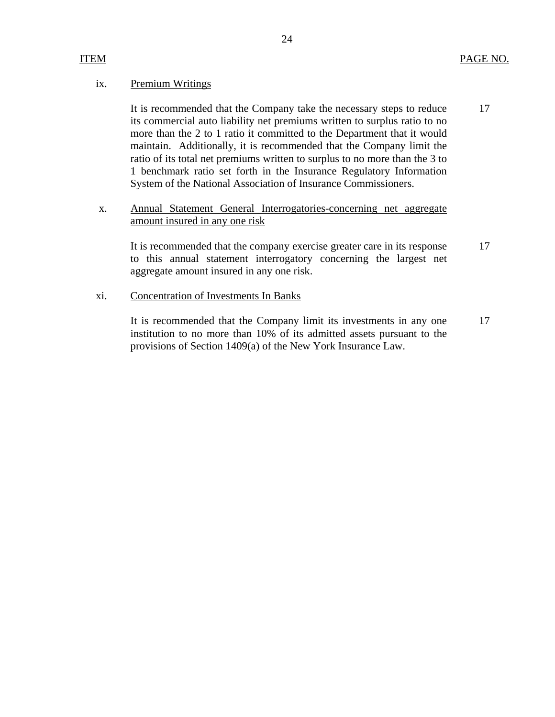## Premium Writings

ix. Premium Writings<br>It is recommended that the Company take the necessary steps to reduce 17 its commercial auto liability net premiums written to surplus ratio to no more than the 2 to 1 ratio it committed to the Department that it would maintain. Additionally, it is recommended that the Company limit the ratio of its total net premiums written to surplus to no more than the 3 to 1 benchmark ratio set forth in the Insurance Regulatory Information System of the National Association of Insurance Commissioners.

## x. Annual Statement General Interrogatories-concerning net aggregate amount insured in any one risk

It is recommended that the company exercise greater care in its response 17 to this annual statement interrogatory concerning the largest net aggregate amount insured in any one risk.

## **Concentration of Investments In Banks**

xi. Concentration of Investments In Banks<br>It is recommended that the Company limit its investments in any one 17 institution to no more than 10% of its admitted assets pursuant to the provisions of Section 1409(a) of the New York Insurance Law.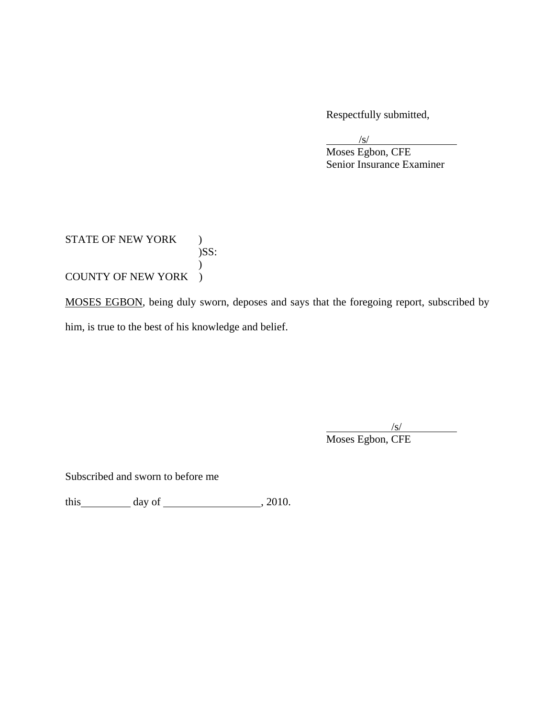Respectfully submitted,

 $\overline{a}$  $\sqrt{s}$ /s/

 Senior Insurance Examiner Moses Egbon, CFE

STATE OF NEW YORK )  $)$ SS:  $\mathcal{L}$ COUNTY OF NEW YORK )

MOSES EGBON, being duly sworn, deposes and says that the foregoing report, subscribed by him, is true to the best of his knowledge and belief.

 $\overline{a}$  $\sqrt{s}$ /s/ Moses Egbon, CFE

Subscribed and sworn to before me

this day of  $\frac{1}{2010}$ , 2010.